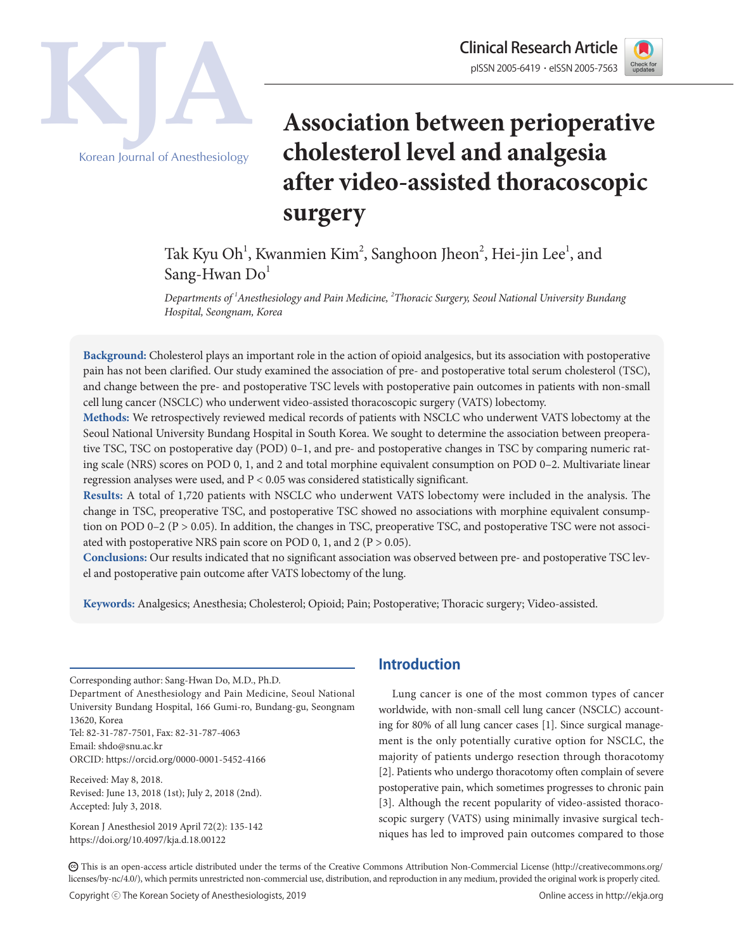

Clinical Research Article Korean Journal of Anesthesiology

# **Association between perioperative cholesterol level and analgesia after video-assisted thoracoscopic surgery**

Tak Kyu Oh<sup>1</sup>, Kwanmien Kim<sup>2</sup>, Sanghoon Jheon<sup>2</sup>, Hei-jin Lee<sup>1</sup>, and Sang-Hwan  $Do<sup>1</sup>$ 

*Departments of 1 Anesthesiology and Pain Medicine, 2 Thoracic Surgery, Seoul National University Bundang Hospital, Seongnam, Korea*

**Background:** Cholesterol plays an important role in the action of opioid analgesics, but its association with postoperative pain has not been clarified. Our study examined the association of pre- and postoperative total serum cholesterol (TSC), and change between the pre- and postoperative TSC levels with postoperative pain outcomes in patients with non-small cell lung cancer (NSCLC) who underwent video-assisted thoracoscopic surgery (VATS) lobectomy.

**Methods:** We retrospectively reviewed medical records of patients with NSCLC who underwent VATS lobectomy at the Seoul National University Bundang Hospital in South Korea. We sought to determine the association between preoperative TSC, TSC on postoperative day (POD) 0–1, and pre- and postoperative changes in TSC by comparing numeric rating scale (NRS) scores on POD 0, 1, and 2 and total morphine equivalent consumption on POD 0–2. Multivariate linear regression analyses were used, and P < 0.05 was considered statistically significant.

**Results:** A total of 1,720 patients with NSCLC who underwent VATS lobectomy were included in the analysis. The change in TSC, preoperative TSC, and postoperative TSC showed no associations with morphine equivalent consumption on POD 0–2 (P > 0.05). In addition, the changes in TSC, preoperative TSC, and postoperative TSC were not associated with postoperative NRS pain score on POD 0, 1, and 2 ( $P > 0.05$ ).

**Conclusions:** Our results indicated that no significant association was observed between pre- and postoperative TSC level and postoperative pain outcome after VATS lobectomy of the lung.

**Keywords:** Analgesics; Anesthesia; Cholesterol; Opioid; Pain; Postoperative; Thoracic surgery; Video-assisted.

Corresponding author: Sang-Hwan Do, M.D., Ph.D.

Department of Anesthesiology and Pain Medicine, Seoul National University Bundang Hospital, 166 Gumi-ro, Bundang-gu, Seongnam 13620, Korea Tel: 82-31-787-7501, Fax: 82-31-787-4063

Email: shdo@snu.ac.kr ORCID: https://orcid.org/0000-0001-5452-4166

Received: May 8, 2018.

Revised: June 13, 2018 (1st); July 2, 2018 (2nd). Accepted: July 3, 2018.

Korean J Anesthesiol 2019 April 72(2): 135-142 https://doi.org/10.4097/kja.d.18.00122

# **Introduction**

Lung cancer is one of the most common types of cancer worldwide, with non-small cell lung cancer (NSCLC) accounting for 80% of all lung cancer cases [1]. Since surgical management is the only potentially curative option for NSCLC, the majority of patients undergo resection through thoracotomy [2]. Patients who undergo thoracotomy often complain of severe postoperative pain, which sometimes progresses to chronic pain [3]. Although the recent popularity of video-assisted thoracoscopic surgery (VATS) using minimally invasive surgical techniques has led to improved pain outcomes compared to those

CC This is an open-access article distributed under the terms of the Creative Commons Attribution Non-Commercial License (http://creativecommons.org/ licenses/by-nc/4.0/), which permits unrestricted non-commercial use, distribution, and reproduction in any medium, provided the original work is properly cited.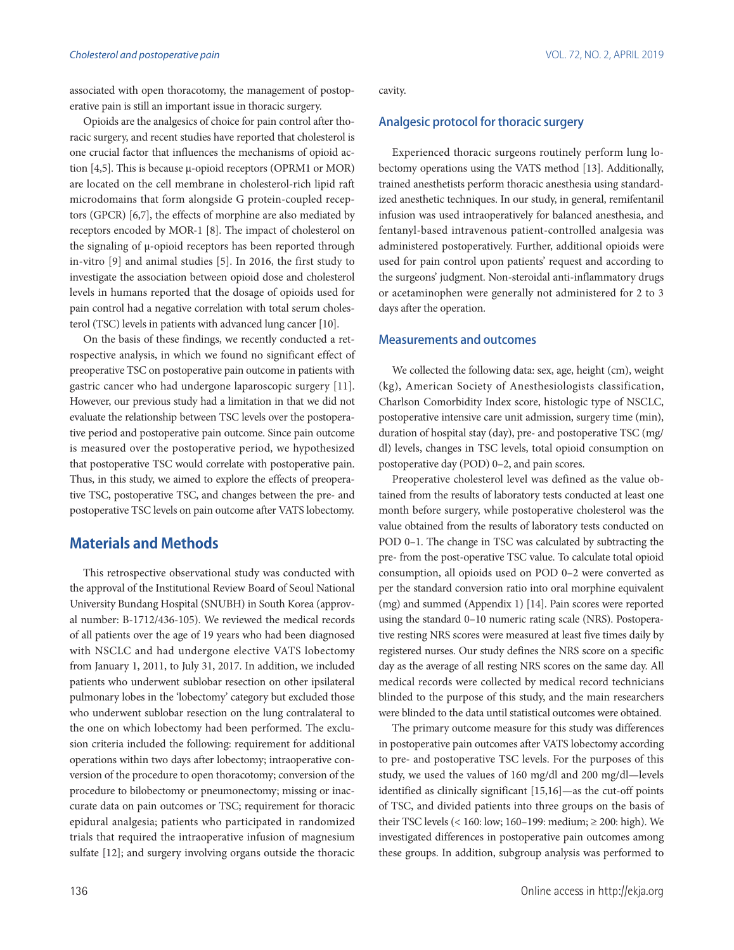associated with open thoracotomy, the management of postoperative pain is still an important issue in thoracic surgery.

Opioids are the analgesics of choice for pain control after thoracic surgery, and recent studies have reported that cholesterol is one crucial factor that influences the mechanisms of opioid action [4,5]. This is because μ-opioid receptors (OPRM1 or MOR) are located on the cell membrane in cholesterol-rich lipid raft microdomains that form alongside G protein-coupled receptors (GPCR) [6,7], the effects of morphine are also mediated by receptors encoded by MOR-1 [8]. The impact of cholesterol on the signaling of μ-opioid receptors has been reported through in-vitro [9] and animal studies [5]. In 2016, the first study to investigate the association between opioid dose and cholesterol levels in humans reported that the dosage of opioids used for pain control had a negative correlation with total serum cholesterol (TSC) levels in patients with advanced lung cancer [10].

On the basis of these findings, we recently conducted a retrospective analysis, in which we found no significant effect of preoperative TSC on postoperative pain outcome in patients with gastric cancer who had undergone laparoscopic surgery [11]. However, our previous study had a limitation in that we did not evaluate the relationship between TSC levels over the postoperative period and postoperative pain outcome. Since pain outcome is measured over the postoperative period, we hypothesized that postoperative TSC would correlate with postoperative pain. Thus, in this study, we aimed to explore the effects of preoperative TSC, postoperative TSC, and changes between the pre- and postoperative TSC levels on pain outcome after VATS lobectomy.

## **Materials and Methods**

This retrospective observational study was conducted with the approval of the Institutional Review Board of Seoul National University Bundang Hospital (SNUBH) in South Korea (approval number: B-1712/436-105). We reviewed the medical records of all patients over the age of 19 years who had been diagnosed with NSCLC and had undergone elective VATS lobectomy from January 1, 2011, to July 31, 2017. In addition, we included patients who underwent sublobar resection on other ipsilateral pulmonary lobes in the 'lobectomy' category but excluded those who underwent sublobar resection on the lung contralateral to the one on which lobectomy had been performed. The exclusion criteria included the following: requirement for additional operations within two days after lobectomy; intraoperative conversion of the procedure to open thoracotomy; conversion of the procedure to bilobectomy or pneumonectomy; missing or inaccurate data on pain outcomes or TSC; requirement for thoracic epidural analgesia; patients who participated in randomized trials that required the intraoperative infusion of magnesium sulfate [12]; and surgery involving organs outside the thoracic cavity.

#### Analgesic protocol for thoracic surgery

Experienced thoracic surgeons routinely perform lung lobectomy operations using the VATS method [13]. Additionally, trained anesthetists perform thoracic anesthesia using standardized anesthetic techniques. In our study, in general, remifentanil infusion was used intraoperatively for balanced anesthesia, and fentanyl-based intravenous patient-controlled analgesia was administered postoperatively. Further, additional opioids were used for pain control upon patients' request and according to the surgeons' judgment. Non-steroidal anti-inflammatory drugs or acetaminophen were generally not administered for 2 to 3 days after the operation.

#### Measurements and outcomes

We collected the following data: sex, age, height (cm), weight (kg), American Society of Anesthesiologists classification, Charlson Comorbidity Index score, histologic type of NSCLC, postoperative intensive care unit admission, surgery time (min), duration of hospital stay (day), pre- and postoperative TSC (mg/ dl) levels, changes in TSC levels, total opioid consumption on postoperative day (POD) 0–2, and pain scores.

Preoperative cholesterol level was defined as the value obtained from the results of laboratory tests conducted at least one month before surgery, while postoperative cholesterol was the value obtained from the results of laboratory tests conducted on POD 0–1. The change in TSC was calculated by subtracting the pre- from the post-operative TSC value. To calculate total opioid consumption, all opioids used on POD 0–2 were converted as per the standard conversion ratio into oral morphine equivalent (mg) and summed (Appendix 1) [14]. Pain scores were reported using the standard 0–10 numeric rating scale (NRS). Postoperative resting NRS scores were measured at least five times daily by registered nurses. Our study defines the NRS score on a specific day as the average of all resting NRS scores on the same day. All medical records were collected by medical record technicians blinded to the purpose of this study, and the main researchers were blinded to the data until statistical outcomes were obtained.

The primary outcome measure for this study was differences in postoperative pain outcomes after VATS lobectomy according to pre- and postoperative TSC levels. For the purposes of this study, we used the values of 160 mg/dl and 200 mg/dl—levels identified as clinically significant [15,16]—as the cut-off points of TSC, and divided patients into three groups on the basis of their TSC levels (< 160: low; 160–199: medium; ≥ 200: high). We investigated differences in postoperative pain outcomes among these groups. In addition, subgroup analysis was performed to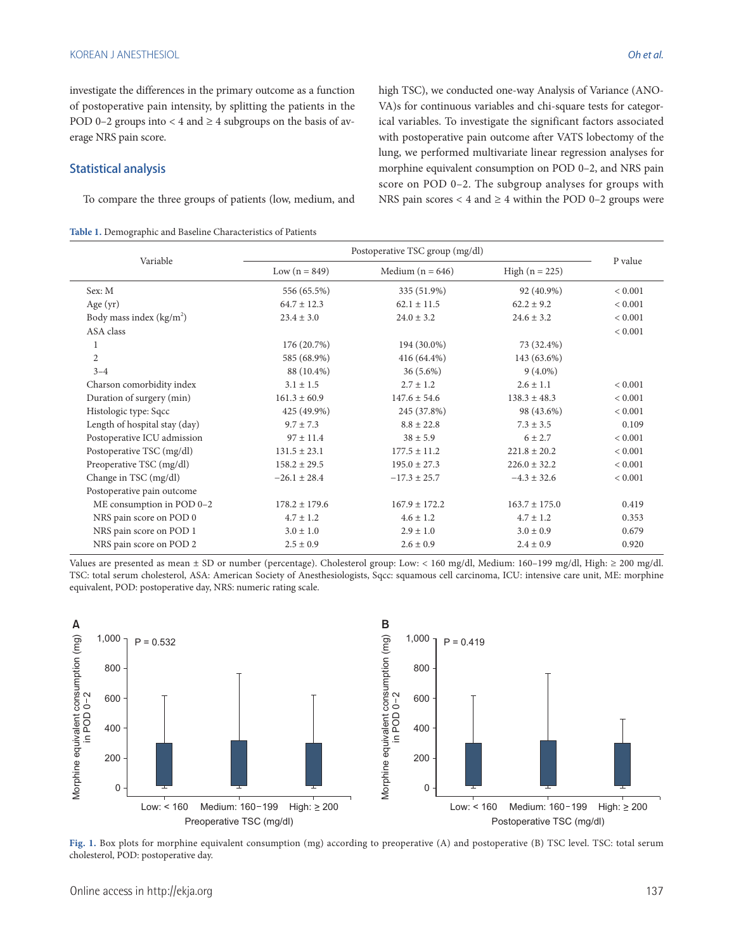investigate the differences in the primary outcome as a function of postoperative pain intensity, by splitting the patients in the POD 0–2 groups into  $<$  4 and  $\geq$  4 subgroups on the basis of average NRS pain score.

#### Statistical analysis

To compare the three groups of patients (low, medium, and

| Table 1. Demographic and Baseline Characteristics of Patients |  |  |  |
|---------------------------------------------------------------|--|--|--|
|---------------------------------------------------------------|--|--|--|

high TSC), we conducted one-way Analysis of Variance (ANO-VA)s for continuous variables and chi-square tests for categorical variables. To investigate the significant factors associated with postoperative pain outcome after VATS lobectomy of the lung, we performed multivariate linear regression analyses for morphine equivalent consumption on POD 0–2, and NRS pain score on POD 0–2. The subgroup analyses for groups with NRS pain scores  $<$  4 and  $\geq$  4 within the POD 0–2 groups were

|                               | Postoperative TSC group (mg/dl) |                    |                   |         |
|-------------------------------|---------------------------------|--------------------|-------------------|---------|
| Variable                      | Low $(n = 849)$                 | Medium $(n = 646)$ | High $(n = 225)$  | P value |
| Sex: M                        | 556 (65.5%)                     | 335 (51.9%)        | 92 (40.9%)        | < 0.001 |
| Age $(yr)$                    | $64.7 \pm 12.3$                 | $62.1 \pm 11.5$    | $62.2 + 9.2$      | < 0.001 |
| Body mass index $(kg/m2)$     | $23.4 \pm 3.0$                  | $24.0 \pm 3.2$     | $24.6 \pm 3.2$    | < 0.001 |
| ASA class                     |                                 |                    |                   | < 0.001 |
| 1                             | 176 (20.7%)                     | 194 (30.0%)        | 73 (32.4%)        |         |
| $\overline{2}$                | 585 (68.9%)                     | 416 (64.4%)        | 143 (63.6%)       |         |
| $3 - 4$                       | 88 (10.4%)                      | $36(5.6\%)$        | $9(4.0\%)$        |         |
| Charson comorbidity index     | $3.1 \pm 1.5$                   | $2.7 \pm 1.2$      | $2.6 \pm 1.1$     | < 0.001 |
| Duration of surgery (min)     | $161.3 \pm 60.9$                | $147.6 \pm 54.6$   | $138.3 \pm 48.3$  | < 0.001 |
| Histologic type: Sqcc         | 425 (49.9%)                     | 245 (37.8%)        | 98 (43.6%)        | < 0.001 |
| Length of hospital stay (day) | $9.7 \pm 7.3$                   | $8.8 \pm 22.8$     | $7.3 \pm 3.5$     | 0.109   |
| Postoperative ICU admission   | $97 \pm 11.4$                   | $38 \pm 5.9$       | $6 \pm 2.7$       | < 0.001 |
| Postoperative TSC (mg/dl)     | $131.5 \pm 23.1$                | $177.5 \pm 11.2$   | $221.8 \pm 20.2$  | < 0.001 |
| Preoperative TSC (mg/dl)      | $158.2 \pm 29.5$                | $195.0 \pm 27.3$   | $226.0 \pm 32.2$  | < 0.001 |
| Change in TSC (mg/dl)         | $-26.1 \pm 28.4$                | $-17.3 \pm 25.7$   | $-4.3 \pm 32.6$   | < 0.001 |
| Postoperative pain outcome    |                                 |                    |                   |         |
| ME consumption in POD 0-2     | $178.2 \pm 179.6$               | $167.9 \pm 172.2$  | $163.7 \pm 175.0$ | 0.419   |
| NRS pain score on POD 0       | $4.7 \pm 1.2$                   | $4.6 \pm 1.2$      | $4.7 \pm 1.2$     | 0.353   |
| NRS pain score on POD 1       | $3.0 \pm 1.0$                   | $2.9 \pm 1.0$      | $3.0 \pm 0.9$     | 0.679   |
| NRS pain score on POD 2       | $2.5 \pm 0.9$                   | $2.6 \pm 0.9$      | $2.4 \pm 0.9$     | 0.920   |

Values are presented as mean ± SD or number (percentage). Cholesterol group: Low: < 160 mg/dl, Medium: 160–199 mg/dl, High: ≥ 200 mg/dl. TSC: total serum cholesterol, ASA: American Society of Anesthesiologists, Sqcc: squamous cell carcinoma, ICU: intensive care unit, ME: morphine equivalent, POD: postoperative day, NRS: numeric rating scale.



**Fig. 1.** Box plots for morphine equivalent consumption (mg) according to preoperative (A) and postoperative (B) TSC level. TSC: total serum cholesterol, POD: postoperative day.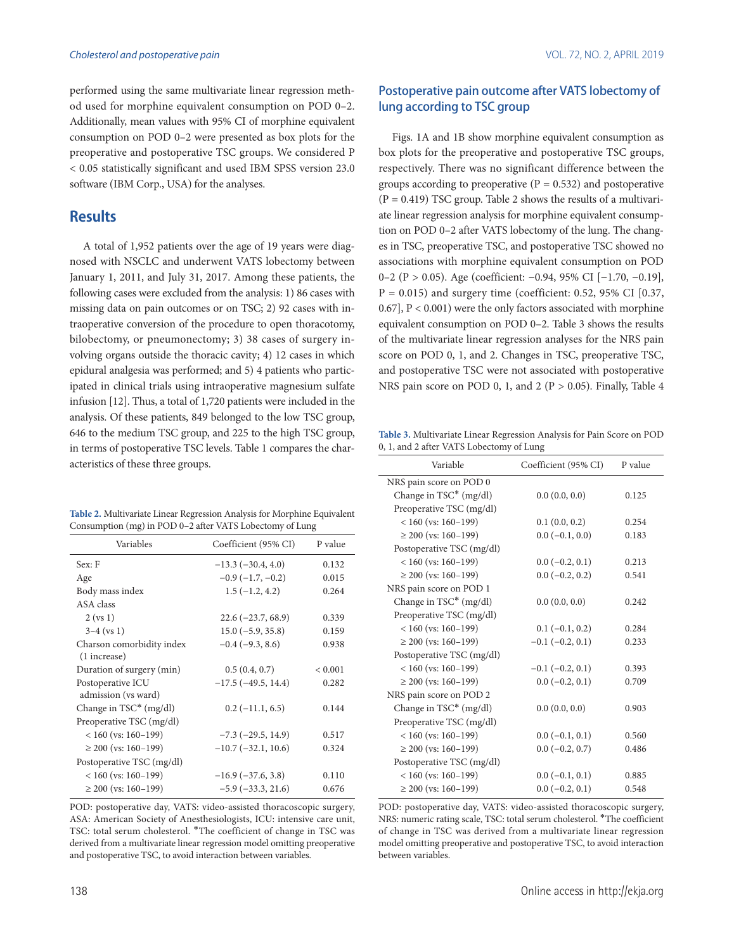performed using the same multivariate linear regression method used for morphine equivalent consumption on POD 0–2. Additionally, mean values with 95% CI of morphine equivalent consumption on POD 0–2 were presented as box plots for the preoperative and postoperative TSC groups. We considered P < 0.05 statistically significant and used IBM SPSS version 23.0 software (IBM Corp., USA) for the analyses.

# **Results**

A total of 1,952 patients over the age of 19 years were diagnosed with NSCLC and underwent VATS lobectomy between January 1, 2011, and July 31, 2017. Among these patients, the following cases were excluded from the analysis: 1) 86 cases with missing data on pain outcomes or on TSC; 2) 92 cases with intraoperative conversion of the procedure to open thoracotomy, bilobectomy, or pneumonectomy; 3) 38 cases of surgery involving organs outside the thoracic cavity; 4) 12 cases in which epidural analgesia was performed; and 5) 4 patients who participated in clinical trials using intraoperative magnesium sulfate infusion [12]. Thus, a total of 1,720 patients were included in the analysis. Of these patients, 849 belonged to the low TSC group, 646 to the medium TSC group, and 225 to the high TSC group, in terms of postoperative TSC levels. Table 1 compares the characteristics of these three groups.

| Table 2. Multivariate Linear Regression Analysis for Morphine Equivalent |
|--------------------------------------------------------------------------|
| Consumption (mg) in POD 0-2 after VATS Lobectomy of Lung                 |

| Variables                 | Coefficient (95% CI)      | P value     |
|---------------------------|---------------------------|-------------|
| Sex: F                    | $-13.3(-30.4, 4.0)$       | 0.132       |
| Age                       | $-0.9(-1.7,-0.2)$         | 0.015       |
| Body mass index           | $1.5(-1.2, 4.2)$          | 0.264       |
| ASA class                 |                           |             |
| $2$ (vs 1)                | $22.6(-23.7, 68.9)$       | 0.339       |
| $3-4$ (vs 1)              | $15.0(-5.9, 35.8)$        | 0.159       |
| Charson comorbidity index | $-0.4(-9.3, 8.6)$         | 0.938       |
| (1 increase)              |                           |             |
| Duration of surgery (min) | 0.5(0.4, 0.7)             | ${}< 0.001$ |
| Postoperative ICU         | $-17.5$ ( $-49.5$ , 14.4) | 0.282       |
| admission (vs ward)       |                           |             |
| Change in $TSC^*$ (mg/dl) | $0.2(-11.1, 6.5)$         | 0.144       |
| Preoperative TSC (mg/dl)  |                           |             |
| $< 160$ (vs: 160-199)     | $-7.3$ ( $-29.5$ , 14.9)  | 0.517       |
| $\geq$ 200 (vs: 160–199)  | $-10.7$ ( $-32.1$ , 10.6) | 0.324       |
| Postoperative TSC (mg/dl) |                           |             |
| $< 160$ (vs: 160-199)     | $-16.9(-37.6, 3.8)$       | 0.110       |
| $\geq$ 200 (vs: 160–199)  | $-5.9(-33.3, 21.6)$       | 0.676       |

POD: postoperative day, VATS: video-assisted thoracoscopic surgery, ASA: American Society of Anesthesiologists, ICU: intensive care unit, TSC: total serum cholesterol. \*The coefficient of change in TSC was derived from a multivariate linear regression model omitting preoperative and postoperative TSC, to avoid interaction between variables.

## Postoperative pain outcome after VATS lobectomy of lung according to TSC group

Figs. 1A and 1B show morphine equivalent consumption as box plots for the preoperative and postoperative TSC groups, respectively. There was no significant difference between the groups according to preoperative  $(P = 0.532)$  and postoperative  $(P = 0.419)$  TSC group. Table 2 shows the results of a multivariate linear regression analysis for morphine equivalent consumption on POD 0–2 after VATS lobectomy of the lung. The changes in TSC, preoperative TSC, and postoperative TSC showed no associations with morphine equivalent consumption on POD 0–2 (P > 0.05). Age (coefficient: −0.94, 95% CI [−1.70, −0.19],  $P = 0.015$ ) and surgery time (coefficient: 0.52, 95% CI [0.37, 0.67], P < 0.001) were the only factors associated with morphine equivalent consumption on POD 0–2. Table 3 shows the results of the multivariate linear regression analyses for the NRS pain score on POD 0, 1, and 2. Changes in TSC, preoperative TSC, and postoperative TSC were not associated with postoperative NRS pain score on POD 0, 1, and 2 ( $P > 0.05$ ). Finally, Table 4

**Table 3.** Multivariate Linear Regression Analysis for Pain Score on POD 0, 1, and 2 after VATS Lobectomy of Lung

| Variable                  | Coefficient (95% CI) | P value |
|---------------------------|----------------------|---------|
| NRS pain score on POD 0   |                      |         |
| Change in TSC* (mg/dl)    | 0.0(0.0, 0.0)        | 0.125   |
| Preoperative TSC (mg/dl)  |                      |         |
| $< 160$ (vs: 160–199)     | 0.1(0.0, 0.2)        | 0.254   |
| $\geq$ 200 (vs: 160–199)  | $0.0$ (-0.1, 0.0)    | 0.183   |
| Postoperative TSC (mg/dl) |                      |         |
| $< 160$ (vs: 160-199)     | $0.0$ (-0.2, 0.1)    | 0.213   |
| $\geq$ 200 (vs: 160–199)  | $0.0$ (-0.2, 0.2)    | 0.541   |
| NRS pain score on POD 1   |                      |         |
| Change in TSC* (mg/dl)    | 0.0(0.0, 0.0)        | 0.242   |
| Preoperative TSC (mg/dl)  |                      |         |
| $< 160$ (vs: 160–199)     | $0.1(-0.1, 0.2)$     | 0.284   |
| $\geq$ 200 (vs: 160–199)  | $-0.1$ $(-0.2, 0.1)$ | 0.233   |
| Postoperative TSC (mg/dl) |                      |         |
| $< 160$ (vs: 160-199)     | $-0.1$ $(-0.2, 0.1)$ | 0.393   |
| $\geq$ 200 (vs: 160–199)  | $0.0$ (-0.2, 0.1)    | 0.709   |
| NRS pain score on POD 2   |                      |         |
| Change in TSC* (mg/dl)    | 0.0(0.0, 0.0)        | 0.903   |
| Preoperative TSC (mg/dl)  |                      |         |
| $< 160$ (vs: 160-199)     | $0.0(-0.1, 0.1)$     | 0.560   |
| $\geq$ 200 (vs: 160–199)  | $0.0$ (-0.2, 0.7)    | 0.486   |
| Postoperative TSC (mg/dl) |                      |         |
| $< 160$ (vs: 160-199)     | $0.0(-0.1, 0.1)$     | 0.885   |
| $\geq$ 200 (vs: 160–199)  | $0.0$ (-0.2, 0.1)    | 0.548   |

POD: postoperative day, VATS: video-assisted thoracoscopic surgery, NRS: numeric rating scale, TSC: total serum cholesterol. \*The coefficient of change in TSC was derived from a multivariate linear regression model omitting preoperative and postoperative TSC, to avoid interaction between variables.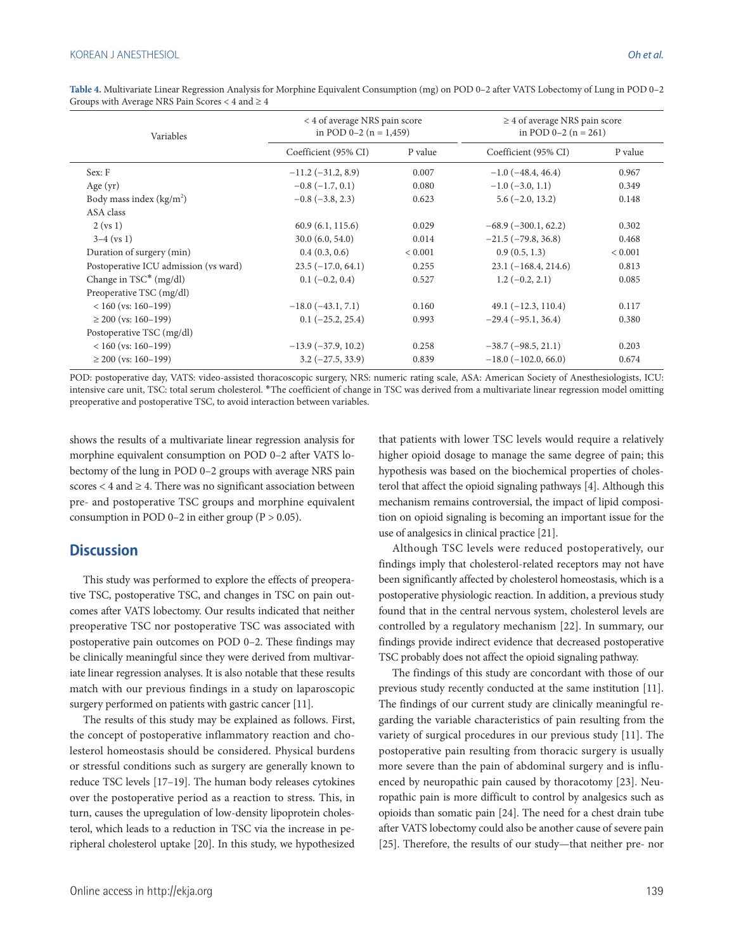| Variables                             | < 4 of average NRS pain score<br>in POD $0-2$ (n = 1,459) |             | $\geq$ 4 of average NRS pain score<br>in POD $0-2$ (n = 261) |             |
|---------------------------------------|-----------------------------------------------------------|-------------|--------------------------------------------------------------|-------------|
|                                       | Coefficient (95% CI)                                      | P value     | Coefficient (95% CI)                                         | P value     |
| Sex: F                                | $-11.2$ ( $-31.2$ , 8.9)                                  | 0.007       | $-1.0$ ( $-48.4, 46.4$ )                                     | 0.967       |
| Age $(yr)$                            | $-0.8(-1.7, 0.1)$                                         | 0.080       | $-1.0$ ( $-3.0$ , 1.1)                                       | 0.349       |
| Body mass index $(kg/m2)$             | $-0.8$ ( $-3.8$ , 2.3)                                    | 0.623       | $5.6(-2.0, 13.2)$                                            | 0.148       |
| ASA class                             |                                                           |             |                                                              |             |
| $2$ (vs 1)                            | 60.9(6.1, 115.6)                                          | 0.029       | $-68.9(-300.1, 62.2)$                                        | 0.302       |
| $3-4$ (vs 1)                          | 30.0(6.0, 54.0)                                           | 0.014       | $-21.5$ ( $-79.8, 36.8$ )                                    | 0.468       |
| Duration of surgery (min)             | 0.4(0.3, 0.6)                                             | ${}< 0.001$ | 0.9(0.5, 1.3)                                                | ${}< 0.001$ |
| Postoperative ICU admission (vs ward) | $23.5(-17.0, 64.1)$                                       | 0.255       | $23.1(-168.4, 214.6)$                                        | 0.813       |
| Change in $TSC^*$ (mg/dl)             | $0.1 (-0.2, 0.4)$                                         | 0.527       | $1.2(-0.2, 2.1)$                                             | 0.085       |
| Preoperative TSC (mg/dl)              |                                                           |             |                                                              |             |
| $< 160$ (vs: 160–199)                 | $-18.0(-43.1, 7.1)$                                       | 0.160       | $49.1 (-12.3, 110.4)$                                        | 0.117       |
| $\geq$ 200 (vs: 160–199)              | $0.1 (-25.2, 25.4)$                                       | 0.993       | $-29.4(-95.1, 36.4)$                                         | 0.380       |
| Postoperative TSC (mg/dl)             |                                                           |             |                                                              |             |
| $< 160$ (vs: 160–199)                 | $-13.9(-37.9, 10.2)$                                      | 0.258       | $-38.7(-98.5, 21.1)$                                         | 0.203       |
| $\geq$ 200 (vs: 160–199)              | $3.2 (-27.5, 33.9)$                                       | 0.839       | $-18.0$ ( $-102.0$ , 66.0)                                   | 0.674       |

**Table 4.** Multivariate Linear Regression Analysis for Morphine Equivalent Consumption (mg) on POD 0–2 after VATS Lobectomy of Lung in POD 0–2 Groups with Average NRS Pain Scores < 4 and ≥ 4

POD: postoperative day, VATS: video-assisted thoracoscopic surgery, NRS: numeric rating scale, ASA: American Society of Anesthesiologists, ICU: intensive care unit, TSC: total serum cholesterol. \*The coefficient of change in TSC was derived from a multivariate linear regression model omitting preoperative and postoperative TSC, to avoid interaction between variables.

shows the results of a multivariate linear regression analysis for morphine equivalent consumption on POD 0–2 after VATS lobectomy of the lung in POD 0–2 groups with average NRS pain scores  $<$  4 and  $\geq$  4. There was no significant association between pre- and postoperative TSC groups and morphine equivalent consumption in POD 0–2 in either group ( $P > 0.05$ ).

#### **Discussion**

This study was performed to explore the effects of preoperative TSC, postoperative TSC, and changes in TSC on pain outcomes after VATS lobectomy. Our results indicated that neither preoperative TSC nor postoperative TSC was associated with postoperative pain outcomes on POD 0–2. These findings may be clinically meaningful since they were derived from multivariate linear regression analyses. It is also notable that these results match with our previous findings in a study on laparoscopic surgery performed on patients with gastric cancer [11].

The results of this study may be explained as follows. First, the concept of postoperative inflammatory reaction and cholesterol homeostasis should be considered. Physical burdens or stressful conditions such as surgery are generally known to reduce TSC levels [17–19]. The human body releases cytokines over the postoperative period as a reaction to stress. This, in turn, causes the upregulation of low-density lipoprotein cholesterol, which leads to a reduction in TSC via the increase in peripheral cholesterol uptake [20]. In this study, we hypothesized

that patients with lower TSC levels would require a relatively higher opioid dosage to manage the same degree of pain; this hypothesis was based on the biochemical properties of cholesterol that affect the opioid signaling pathways [4]. Although this mechanism remains controversial, the impact of lipid composition on opioid signaling is becoming an important issue for the use of analgesics in clinical practice [21].

Although TSC levels were reduced postoperatively, our findings imply that cholesterol-related receptors may not have been significantly affected by cholesterol homeostasis, which is a postoperative physiologic reaction. In addition, a previous study found that in the central nervous system, cholesterol levels are controlled by a regulatory mechanism [22]. In summary, our findings provide indirect evidence that decreased postoperative TSC probably does not affect the opioid signaling pathway.

The findings of this study are concordant with those of our previous study recently conducted at the same institution [11]. The findings of our current study are clinically meaningful regarding the variable characteristics of pain resulting from the variety of surgical procedures in our previous study [11]. The postoperative pain resulting from thoracic surgery is usually more severe than the pain of abdominal surgery and is influenced by neuropathic pain caused by thoracotomy [23]. Neuropathic pain is more difficult to control by analgesics such as opioids than somatic pain [24]. The need for a chest drain tube after VATS lobectomy could also be another cause of severe pain [25]. Therefore, the results of our study—that neither pre- nor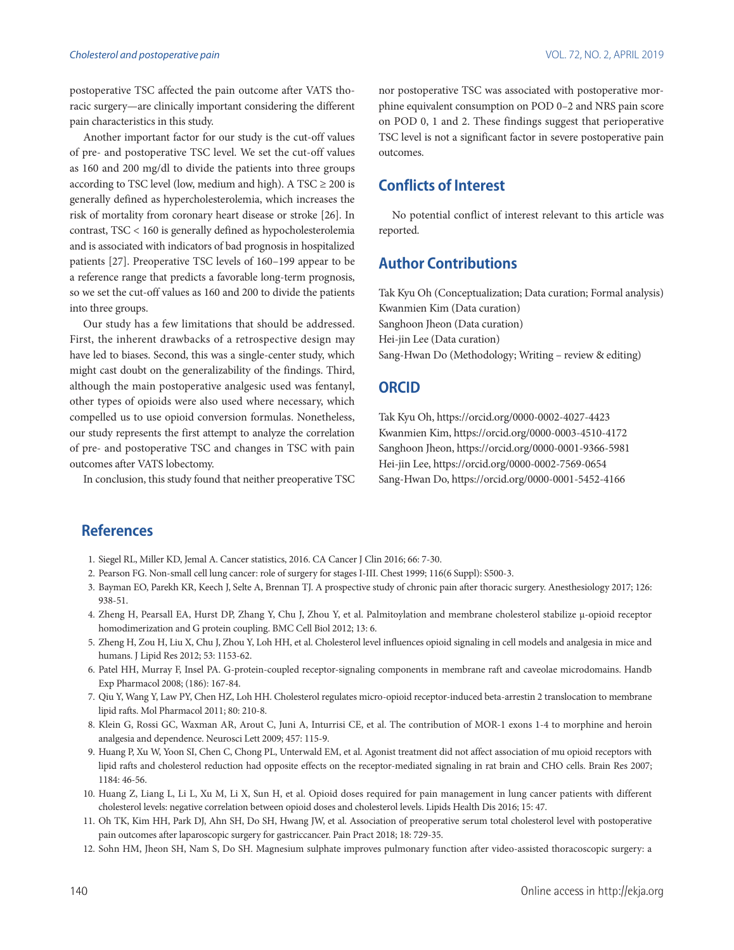postoperative TSC affected the pain outcome after VATS thoracic surgery—are clinically important considering the different pain characteristics in this study.

Another important factor for our study is the cut-off values of pre- and postoperative TSC level. We set the cut-off values as 160 and 200 mg/dl to divide the patients into three groups according to TSC level (low, medium and high). A TSC  $\geq$  200 is generally defined as hypercholesterolemia, which increases the risk of mortality from coronary heart disease or stroke [26]. In contrast, TSC < 160 is generally defined as hypocholesterolemia and is associated with indicators of bad prognosis in hospitalized patients [27]. Preoperative TSC levels of 160–199 appear to be a reference range that predicts a favorable long-term prognosis, so we set the cut-off values as 160 and 200 to divide the patients into three groups.

Our study has a few limitations that should be addressed. First, the inherent drawbacks of a retrospective design may have led to biases. Second, this was a single-center study, which might cast doubt on the generalizability of the findings. Third, although the main postoperative analgesic used was fentanyl, other types of opioids were also used where necessary, which compelled us to use opioid conversion formulas. Nonetheless, our study represents the first attempt to analyze the correlation of pre- and postoperative TSC and changes in TSC with pain outcomes after VATS lobectomy.

In conclusion, this study found that neither preoperative TSC

nor postoperative TSC was associated with postoperative morphine equivalent consumption on POD 0–2 and NRS pain score on POD 0, 1 and 2. These findings suggest that perioperative TSC level is not a significant factor in severe postoperative pain outcomes.

# **Conflicts of Interest**

No potential conflict of interest relevant to this article was reported.

# **Author Contributions**

Tak Kyu Oh (Conceptualization; Data curation; Formal analysis) Kwanmien Kim (Data curation) Sanghoon Jheon (Data curation) Hei-jin Lee (Data curation) Sang-Hwan Do (Methodology; Writing – review & editing)

#### **ORCID**

Tak Kyu Oh, https://orcid.org/0000-0002-4027-4423 Kwanmien Kim, https://orcid.org/0000-0003-4510-4172 Sanghoon Jheon, https://orcid.org/0000-0001-9366-5981 Hei-jin Lee, https://orcid.org/0000-0002-7569-0654 Sang-Hwan Do, https://orcid.org/0000-0001-5452-4166

# **References**

- 1. Siegel RL, Miller KD, Jemal A. Cancer statistics, 2016. CA Cancer J Clin 2016; 66: 7-30.
- 2. Pearson FG. Non-small cell lung cancer: role of surgery for stages I-III. Chest 1999; 116(6 Suppl): S500-3.
- 3. Bayman EO, Parekh KR, Keech J, Selte A, Brennan TJ. A prospective study of chronic pain after thoracic surgery. Anesthesiology 2017; 126: 938-51.
- 4. Zheng H, Pearsall EA, Hurst DP, Zhang Y, Chu J, Zhou Y, et al. Palmitoylation and membrane cholesterol stabilize μ-opioid receptor homodimerization and G protein coupling. BMC Cell Biol 2012; 13: 6.
- 5. Zheng H, Zou H, Liu X, Chu J, Zhou Y, Loh HH, et al. Cholesterol level influences opioid signaling in cell models and analgesia in mice and humans. J Lipid Res 2012; 53: 1153-62.
- 6. Patel HH, Murray F, Insel PA. G-protein-coupled receptor-signaling components in membrane raft and caveolae microdomains. Handb Exp Pharmacol 2008; (186): 167-84.
- 7. Qiu Y, Wang Y, Law PY, Chen HZ, Loh HH. Cholesterol regulates micro-opioid receptor-induced beta-arrestin 2 translocation to membrane lipid rafts. Mol Pharmacol 2011; 80: 210-8.
- 8. Klein G, Rossi GC, Waxman AR, Arout C, Juni A, Inturrisi CE, et al. The contribution of MOR-1 exons 1-4 to morphine and heroin analgesia and dependence. Neurosci Lett 2009; 457: 115-9.
- 9. Huang P, Xu W, Yoon SI, Chen C, Chong PL, Unterwald EM, et al. Agonist treatment did not affect association of mu opioid receptors with lipid rafts and cholesterol reduction had opposite effects on the receptor-mediated signaling in rat brain and CHO cells. Brain Res 2007; 1184: 46-56.
- 10. Huang Z, Liang L, Li L, Xu M, Li X, Sun H, et al. Opioid doses required for pain management in lung cancer patients with different cholesterol levels: negative correlation between opioid doses and cholesterol levels. Lipids Health Dis 2016; 15: 47.
- 11. Oh TK, Kim HH, Park DJ, Ahn SH, Do SH, Hwang JW, et al. Association of preoperative serum total cholesterol level with postoperative pain outcomes after laparoscopic surgery for gastriccancer. Pain Pract 2018; 18: 729-35.
- 12. Sohn HM, Jheon SH, Nam S, Do SH. Magnesium sulphate improves pulmonary function after video-assisted thoracoscopic surgery: a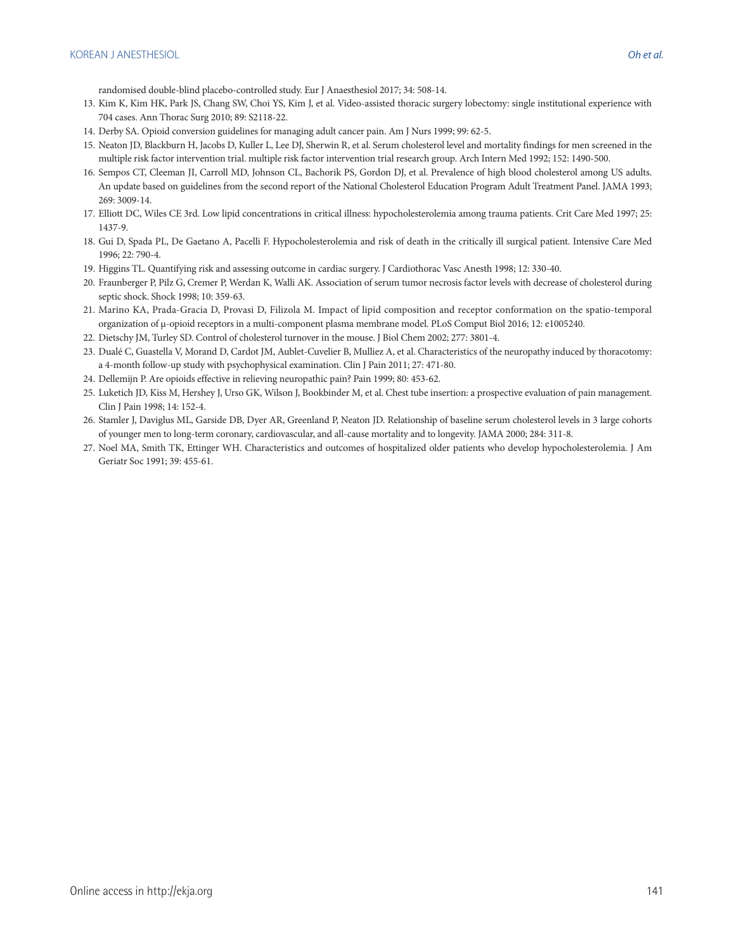randomised double-blind placebo-controlled study. Eur J Anaesthesiol 2017; 34: 508-14.

- 13. Kim K, Kim HK, Park JS, Chang SW, Choi YS, Kim J, et al. Video-assisted thoracic surgery lobectomy: single institutional experience with 704 cases. Ann Thorac Surg 2010; 89: S2118-22.
- 14. Derby SA. Opioid conversion guidelines for managing adult cancer pain. Am J Nurs 1999; 99: 62-5.
- 15. Neaton JD, Blackburn H, Jacobs D, Kuller L, Lee DJ, Sherwin R, et al. Serum cholesterol level and mortality findings for men screened in the multiple risk factor intervention trial. multiple risk factor intervention trial research group. Arch Intern Med 1992; 152: 1490-500.
- 16. Sempos CT, Cleeman JI, Carroll MD, Johnson CL, Bachorik PS, Gordon DJ, et al. Prevalence of high blood cholesterol among US adults. An update based on guidelines from the second report of the National Cholesterol Education Program Adult Treatment Panel. JAMA 1993; 269: 3009-14.
- 17. Elliott DC, Wiles CE 3rd. Low lipid concentrations in critical illness: hypocholesterolemia among trauma patients. Crit Care Med 1997; 25: 1437-9.
- 18. Gui D, Spada PL, De Gaetano A, Pacelli F. Hypocholesterolemia and risk of death in the critically ill surgical patient. Intensive Care Med 1996; 22: 790-4.
- 19. Higgins TL. Quantifying risk and assessing outcome in cardiac surgery. J Cardiothorac Vasc Anesth 1998; 12: 330-40.
- 20. Fraunberger P, Pilz G, Cremer P, Werdan K, Walli AK. Association of serum tumor necrosis factor levels with decrease of cholesterol during septic shock. Shock 1998; 10: 359-63.
- 21. Marino KA, Prada-Gracia D, Provasi D, Filizola M. Impact of lipid composition and receptor conformation on the spatio-temporal organization of μ-opioid receptors in a multi-component plasma membrane model. PLoS Comput Biol 2016; 12: e1005240.
- 22. Dietschy JM, Turley SD. Control of cholesterol turnover in the mouse. J Biol Chem 2002; 277: 3801-4.
- 23. Dualé C, Guastella V, Morand D, Cardot JM, Aublet-Cuvelier B, Mulliez A, et al. Characteristics of the neuropathy induced by thoracotomy: a 4-month follow-up study with psychophysical examination. Clin J Pain 2011; 27: 471-80.
- 24. Dellemijn P. Are opioids effective in relieving neuropathic pain? Pain 1999; 80: 453-62.
- 25. Luketich JD, Kiss M, Hershey J, Urso GK, Wilson J, Bookbinder M, et al. Chest tube insertion: a prospective evaluation of pain management. Clin J Pain 1998; 14: 152-4.
- 26. Stamler J, Daviglus ML, Garside DB, Dyer AR, Greenland P, Neaton JD. Relationship of baseline serum cholesterol levels in 3 large cohorts of younger men to long-term coronary, cardiovascular, and all-cause mortality and to longevity. JAMA 2000; 284: 311-8.
- 27. Noel MA, Smith TK, Ettinger WH. Characteristics and outcomes of hospitalized older patients who develop hypocholesterolemia. J Am Geriatr Soc 1991; 39: 455-61.